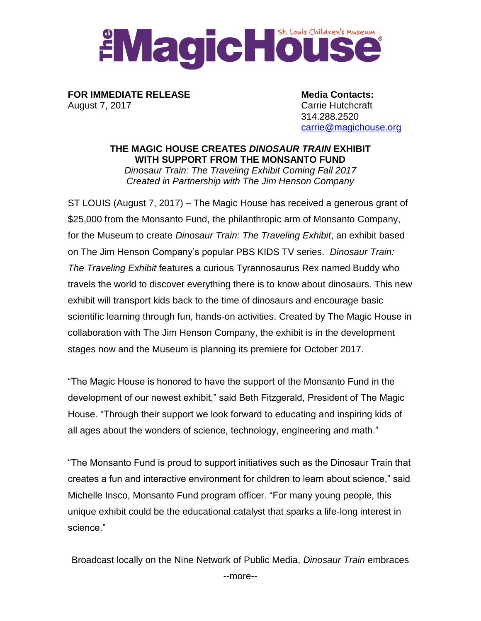## EMagic Business Museum

**FOR IMMEDIATE RELEASE Media Contacts:** August 7, 2017 **Carrie Hutchcraft** 

314.288.2520 [carrie@magichouse.org](mailto:carrie@magichouse.org)

**THE MAGIC HOUSE CREATES** *DINOSAUR TRAIN* **EXHIBIT WITH SUPPORT FROM THE MONSANTO FUND** *Dinosaur Train: The Traveling Exhibit Coming Fall 2017 Created in Partnership with The Jim Henson Company*

ST LOUIS (August 7, 2017) – The Magic House has received a generous grant of \$25,000 from the Monsanto Fund, the philanthropic arm of Monsanto Company, for the Museum to create *Dinosaur Train: The Traveling Exhibit*, an exhibit based on The Jim Henson Company's popular PBS KIDS TV series. *Dinosaur Train: The Traveling Exhibit* features a curious Tyrannosaurus Rex named Buddy who travels the world to discover everything there is to know about dinosaurs. This new exhibit will transport kids back to the time of dinosaurs and encourage basic scientific learning through fun, hands-on activities. Created by The Magic House in collaboration with The Jim Henson Company, the exhibit is in the development stages now and the Museum is planning its premiere for October 2017.

"The Magic House is honored to have the support of the Monsanto Fund in the development of our newest exhibit," said Beth Fitzgerald, President of The Magic House. "Through their support we look forward to educating and inspiring kids of all ages about the wonders of science, technology, engineering and math."

"The Monsanto Fund is proud to support initiatives such as the Dinosaur Train that creates a fun and interactive environment for children to learn about science," said Michelle Insco, Monsanto Fund program officer. "For many young people, this unique exhibit could be the educational catalyst that sparks a life-long interest in science."

Broadcast locally on the Nine Network of Public Media, *Dinosaur Train* embraces --more--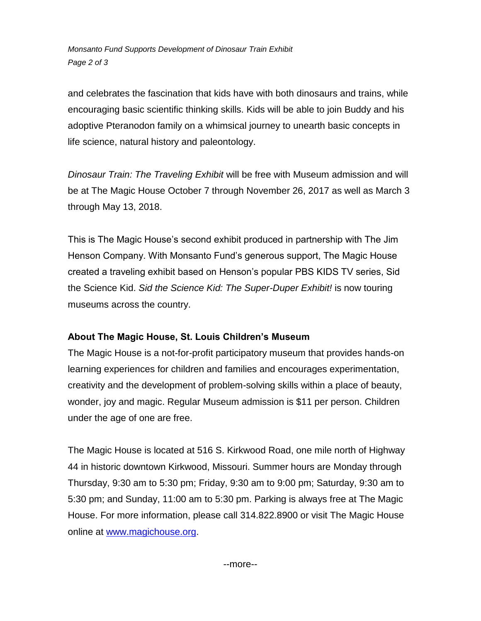*Monsanto Fund Supports Development of Dinosaur Train Exhibit Page 2 of 3*

and celebrates the fascination that kids have with both dinosaurs and trains, while encouraging basic scientific thinking skills. Kids will be able to join Buddy and his adoptive Pteranodon family on a whimsical journey to unearth basic concepts in life science, natural history and paleontology.

*Dinosaur Train: The Traveling Exhibit* will be free with Museum admission and will be at The Magic House October 7 through November 26, 2017 as well as March 3 through May 13, 2018.

This is The Magic House's second exhibit produced in partnership with The Jim Henson Company. With Monsanto Fund's generous support, The Magic House created a traveling exhibit based on Henson's popular PBS KIDS TV series, Sid the Science Kid. *Sid the Science Kid: The Super-Duper Exhibit!* is now touring museums across the country.

## **About The Magic House, St. Louis Children's Museum**

The Magic House is a not-for-profit participatory museum that provides hands-on learning experiences for children and families and encourages experimentation, creativity and the development of problem-solving skills within a place of beauty, wonder, joy and magic. Regular Museum admission is \$11 per person. Children under the age of one are free.

The Magic House is located at 516 S. Kirkwood Road, one mile north of Highway 44 in historic downtown Kirkwood, Missouri. Summer hours are Monday through Thursday, 9:30 am to 5:30 pm; Friday, 9:30 am to 9:00 pm; Saturday, 9:30 am to 5:30 pm; and Sunday, 11:00 am to 5:30 pm. Parking is always free at The Magic House. For more information, please call 314.822.8900 or visit The Magic House online at [www.magichouse.org.](http://www.magichouse.org/)